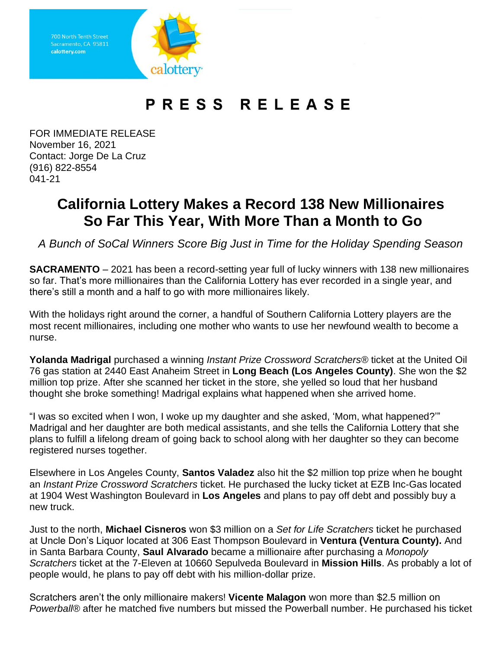Sacramento, CA 95811 calottery.com

## PRESS RELEASE

FOR IMMEDIATE RELEASE November 16, 2021 Contact: Jorge De La Cruz (916) 822-8554 041-21

## **California Lottery Makes a Record 138 New Millionaires So Far This Year, With More Than a Month to Go**

*A Bunch of SoCal Winners Score Big Just in Time for the Holiday Spending Season*

**SACRAMENTO** – 2021 has been a record-setting year full of lucky winners with 138 new millionaires so far. That's more millionaires than the California Lottery has ever recorded in a single year, and there's still a month and a half to go with more millionaires likely.

With the holidays right around the corner, a handful of Southern California Lottery players are the most recent millionaires, including one mother who wants to use her newfound wealth to become a nurse.

**Yolanda Madrigal** purchased a winning *Instant Prize Crossword Scratchers®* ticket at the United Oil 76 gas station at 2440 East Anaheim Street in **Long Beach (Los Angeles County)**. She won the \$2 million top prize. After she scanned her ticket in the store, she yelled so loud that her husband thought she broke something! Madrigal explains what happened when she arrived home.

"I was so excited when I won, I woke up my daughter and she asked, 'Mom, what happened?'" Madrigal and her daughter are both medical assistants, and she tells the California Lottery that she plans to fulfill a lifelong dream of going back to school along with her daughter so they can become registered nurses together.

Elsewhere in Los Angeles County, **Santos Valadez** also hit the \$2 million top prize when he bought an *Instant Prize Crossword Scratchers* ticket. He purchased the lucky ticket at EZB Inc-Gas located at 1904 West Washington Boulevard in **Los Angeles** and plans to pay off debt and possibly buy a new truck.

Just to the north, **Michael Cisneros** won \$3 million on a *Set for Life Scratchers* ticket he purchased at Uncle Don's Liquor located at 306 East Thompson Boulevard in **Ventura (Ventura County).** And in Santa Barbara County, **Saul Alvarado** became a millionaire after purchasing a *Monopoly Scratchers* ticket at the 7-Eleven at 10660 Sepulveda Boulevard in **Mission Hills**. As probably a lot of people would, he plans to pay off debt with his million-dollar prize.

Scratchers aren't the only millionaire makers! **Vicente Malagon** won more than \$2.5 million on *Powerball®* after he matched five numbers but missed the Powerball number. He purchased his ticket